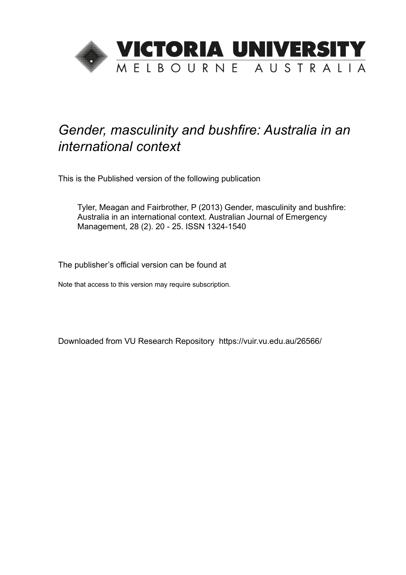

# *Gender, masculinity and bushfire: Australia in an international context*

This is the Published version of the following publication

Tyler, Meagan and Fairbrother, P (2013) Gender, masculinity and bushfire: Australia in an international context. Australian Journal of Emergency Management, 28 (2). 20 - 25. ISSN 1324-1540

The publisher's official version can be found at

Note that access to this version may require subscription.

Downloaded from VU Research Repository https://vuir.vu.edu.au/26566/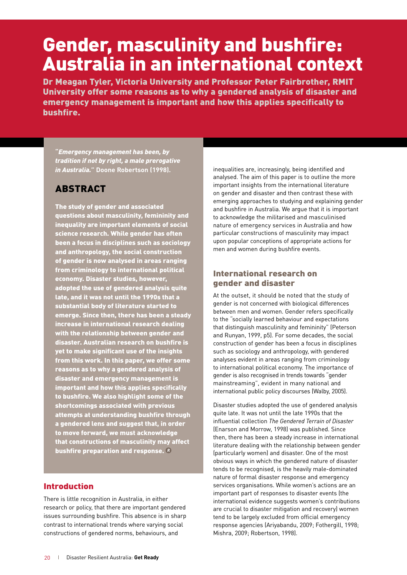# Gender, masculinity and bushfire: Australia in an international context

Dr Meagan Tyler, Victoria University and Professor Peter Fairbrother, RMIT University offer some reasons as to why a gendered analysis of disaster and emergency management is important and how this applies specifically to bushfire.

**"***Emergency management has been, by tradition if not by right, a male prerogative in Australia.***" Doone Robertson (1998).**

## **ABSTRACT**

The study of gender and associated questions about masculinity, femininity and inequality are important elements of social science research. While gender has often been a focus in disciplines such as sociology and anthropology, the social construction of gender is now analysed in areas ranging from criminology to international political economy. Disaster studies, however, adopted the use of gendered analysis quite late, and it was not until the 1990s that a substantial body of literature started to emerge. Since then, there has been a steady increase in international research dealing with the relationship between gender and disaster. Australian research on bushfire is yet to make significant use of the insights from this work. In this paper, we offer some reasons as to why a gendered analysis of disaster and emergency management is important and how this applies specifically to bushfire. We also highlight some of the shortcomings associated with previous attempts at understanding bushfire through a gendered lens and suggest that, in order to move forward, we must acknowledge that constructions of masculinity may affect bushfire preparation and response.  $\overline{R}$ 

### Introduction

There is little recognition in Australia, in either research or policy, that there are important gendered issues surrounding bushfire. This absence is in sharp contrast to international trends where varying social constructions of gendered norms, behaviours, and

inequalities are, increasingly, being identified and analysed. The aim of this paper is to outline the more important insights from the international literature on gender and disaster and then contrast these with emerging approaches to studying and explaining gender and bushfire in Australia. We argue that it is important to acknowledge the militarised and masculinised nature of emergency services in Australia and how particular constructions of masculinity may impact upon popular conceptions of appropriate actions for men and women during bushfire events.

#### International research on gender and disaster

At the outset, it should be noted that the study of gender is not concerned with biological differences between men and women. Gender refers specifically to the "socially learned behaviour and expectations that distinguish masculinity and femininity" (Peterson and Runyan, 1999, p5). For some decades, the social construction of gender has been a focus in disciplines such as sociology and anthropology, with gendered analyses evident in areas ranging from criminology to international political economy. The importance of gender is also recognised in trends towards "gender mainstreaming", evident in many national and international public policy discourses (Walby, 2005).

Disaster studies adopted the use of gendered analysis quite late. It was not until the late 1990s that the influential collection *The Gendered Terrain of Disaster*  (Enarson and Morrow, 1998) was published. Since then, there has been a steady increase in international literature dealing with the relationship between gender (particularly women) and disaster. One of the most obvious ways in which the gendered nature of disaster tends to be recognised, is the heavily male-dominated nature of formal disaster response and emergency services organisations. While women's actions are an important part of responses to disaster events (the international evidence suggests women's contributions are crucial to disaster mitigation and recovery) women tend to be largely excluded from official emergency response agencies (Ariyabandu, 2009; Fothergill, 1998; Mishra, 2009; Robertson, 1998).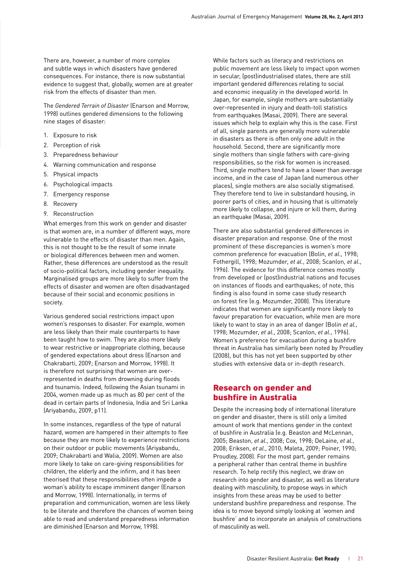There are, however, a number of more complex and subtle ways in which disasters have gendered consequences. For instance, there is now substantial evidence to suggest that, globally, women are at greater risk from the effects of disaster than men.

The *Gendered Terrain of Disaster* (Enarson and Morrow, 1998) outlines gendered dimensions to the following nine stages of disaster:

- 1. Exposure to risk
- 2. Perception of risk
- 3. Preparedness behaviour
- 4. Warning communication and response
- 5. Physical impacts
- 6. Psychological impacts
- 7. Emergency response
- 8. Recovery
- 9. Reconstruction

What emerges from this work on gender and disaster is that women are, in a number of different ways, more vulnerable to the effects of disaster than men. Again, this is not thought to be the result of some innate or biological differences between men and women. Rather, these differences are understood as the result of socio-political factors, including gender inequality. Marginalised groups are more likely to suffer from the effects of disaster and women are often disadvantaged because of their social and economic positions in society.

Various gendered social restrictions impact upon women's responses to disaster. For example, women are less likely than their male counterparts to have been taught how to swim. They are also more likely to wear restrictive or inappropriate clothing, because of gendered expectations about dress (Enarson and Chakrabarti, 2009; Enarson and Morrow, 1998). It is therefore not surprising that women are overrepresented in deaths from drowning during floods and tsunamis. Indeed, following the Asian tsunami in 2004, women made up as much as 80 per cent of the dead in certain parts of Indonesia, India and Sri Lanka (Ariyabandu, 2009, p11).

In some instances, regardless of the type of natural hazard, women are hampered in their attempts to flee because they are more likely to experience restrictions on their outdoor or public movements (Ariyabandu, 2009; Chakrabarti and Walia, 2009). Women are also more likely to take on care-giving responsibilities for children, the elderly and the infirm, and it has been theorised that these responsibilities often impede a woman's ability to escape imminent danger (Enarson and Morrow, 1998). Internationally, in terms of preparation and communication, women are less likely to be literate and therefore the chances of women being able to read and understand preparedness information are diminished (Enarson and Morrow, 1998).

While factors such as literacy and restrictions on public movement are less likely to impact upon women in secular, (post)industrialised states, there are still important gendered differences relating to social and economic inequality in the developed world. In Japan, for example, single mothers are substantially over-represented in injury and death-toll statistics from earthquakes (Masai, 2009). There are several issues which help to explain why this is the case. First of all, single parents are generally more vulnerable in disasters as there is often only one adult in the household. Second, there are significantly more single mothers than single fathers with care-giving responsibilities, so the risk for women is increased. Third, single mothers tend to have a lower than average income, and in the case of Japan (and numerous other places), single mothers are also socially stigmatised. They therefore tend to live in substandard housing, in poorer parts of cities, and in housing that is ultimately more likely to collapse, and injure or kill them, during an earthquake (Masai, 2009).

There are also substantial gendered differences in disaster preparation and response. One of the most prominent of these discrepancies is women's more common preference for evacuation (Bolin, *et al*., 1998; Fothergill, 1998; Mozumder, *et al*., 2008; Scanlon, *et al*., 1996). The evidence for this difference comes mostly from developed or (post)industrial nations and focuses on instances of floods and earthquakes; of note, this finding is also found in some case study research on forest fire (e.g. Mozumder, 2008). This literature indicates that women are significantly more likely to favour preparation for evacuation, while men are more likely to want to stay in an area of danger (Bolin *et al.*, 1998; Mozumder, *et al*., 2008; Scanlon, *et al*., 1996). Women's preference for evacuation during a bushfire threat in Australia has similarly been noted by Proudley (2008), but this has not yet been supported by other studies with extensive data or in-depth research.

#### Research on gender and bushfire in Australia

Despite the increasing body of international literature on gender and disaster, there is still only a limited amount of work that mentions gender in the context of bushfire in Australia (e.g. Beaston and McLennan, 2005; Beaston, *et al*., 2008; Cox, 1998; DeLaine, *et al.*, 2008; Eriksen, *et al*., 2010; Maleta, 2009; Poiner, 1990; Proudley, 2008). For the most part, gender remains a peripheral rather than central theme in bushfire research. To help rectify this neglect, we draw on research into gender and disaster, as well as literature dealing with masculinity, to propose ways in which insights from these areas may be used to better understand bushfire preparedness and response. The idea is to move beyond simply looking at 'women and bushfire' and to incorporate an analysis of constructions of masculinity as well.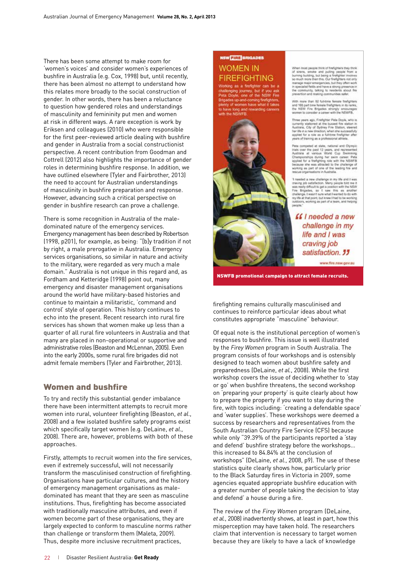There has been some attempt to make room for 'women's voices' and consider women's experiences of bushfire in Australia (e.g. Cox, 1998) but, until recently, there has been almost no attempt to understand how this relates more broadly to the social construction of gender. In other words, there has been a reluctance to question how gendered roles and understandings of masculinity and femininity put men and women at risk in different ways. A rare exception is work by Eriksen and colleagues (2010) who were responsible for the first peer-reviewed article dealing with bushfire and gender in Australia from a social constructionist perspective. A recent contribution from Goodman and Cottrell (2012) also highlights the importance of gender roles in determining bushfire response. In addition, we have outlined elsewhere (Tyler and Fairbrother, 2013) the need to account for Australian understandings of masculinity in bushfire preparation and response. However, advancing such a critical perspective on gender in bushfire research can prove a challenge.

There is some recognition in Australia of the maledominated nature of the emergency services. Emergency management has been described by Robertson (1998, p201), for example, as being: "[b]y tradition if not by right, a male prerogative in Australia. Emergency services organisations, so similar in nature and activity to the military, were regarded as very much a male domain." Australia is not unique in this regard and, as Fordham and Ketteridge (1998) point out, many emergency and disaster management organisations around the world have military-based histories and continue to maintain a militaristic, 'command and control' style of operation. This history continues to echo into the present. Recent research into rural fire services has shown that women make up less than a quarter of all rural fire volunteers in Australia and that many are placed in non-operational or supportive and administrative roles (Beaston and McLennan, 2005). Even into the early 2000s, some rural fire brigades did not admit female members (Tyler and Fairbrother, 2013).

#### Women and bushfire

To try and rectify this substantial gender imbalance there have been intermittent attempts to recruit more women into rural, volunteer firefighting (Beaston, *et al*., 2008) and a few isolated bushfire safety programs exist which specifically target women (e.g. DeLaine, *et al*., 2008). There are, however, problems with both of these approaches.

Firstly, attempts to recruit women into the fire services, even if extremely successful, will not necessarily transform the masculinised construction of firefighting. Organisations have particular cultures, and the history of emergency management organisations as maledominated has meant that they are seen as masculine institutions. Thus, firefighting has become associated with traditionally masculine attributes, and even if women become part of these organisations, they are largely expected to conform to masculine norms rather than challenge or transform them (Maleta, 2009). Thus, despite more inclusive recruitment practices,

#### **NSW THE BRIGADES WOMEN IN FIREFIGHTING**

the complete that the same<br>the one of the NSW Fire of women have what it takes



When most people think of firefighters they think<br>of siners, smoke and pating people from a<br>burning building, but being a firefighter involves<br>so much more than this. Our firefighters not only manage major emergencies, but they often work<br>in specialist fields and have a strong presence in<br>the community, talking to residents about fire he community, talking to resid<br>prevention and making communit

With none than 92 full-time female findight<br>and 163 part time female fredghters in its rank<br>the NSW Fire Brigades strongly encourage<br>women to consider a caleer with the NSWFB.

Three years ago. Fireficities Pata Doule, who is inner years ago, mergose meat for station in<br>currently stationed at the busies in Australia, city of Sydney Fire Station, steered<br>her life in a new desclicit, when she successfully<br>applied for a role as a full-time finalig years of training as a professional att

Pete competed at state, radiomiliand Olympic<br>Visit over the past 12 years, and more<br>extending at various World, Cop. Severning<br>Championships during the state of the National Championships during her swiss calcer. Peter<br>Sep

Theodod a new challenge in my 10s and I was<br>caving job satisfaction. Neary people told me it was really difficult to get a position with the NSW<br>Fire Brigades, so  $1$  saw: this is a landfee challenge, I was<br>in this was in

ff I needed a new challenge in my life and I was craving job satisfaction. "

www.fire.nsw.gov.au

NSWFB promotional campaign to attract female recruits.

firefighting remains culturally masculinised and continues to reinforce particular ideas about what constitutes appropriate "masculine" behaviour.

Of equal note is the institutional perception of women's responses to bushfire. This issue is well illustrated by the *Firey Women* program in South Australia. The program consists of four workshops and is ostensibly designed to teach women about bushfire safety and preparedness (DeLaine, *et al.*, 2008). While the first workshop covers the issue of deciding whether to 'stay or go' when bushfire threatens, the second workshop on 'preparing your property' is quite clearly about how to prepare the property if you want to stay during the fire, with topics including: 'creating a defendable space' and 'water supplies'. These workshops were deemed a success by researchers and representatives from the South Australian Country Fire Service (CFS) because while only "39.39% of the participants reported a 'stay and defend' bushfire strategy before the workshops… this increased to 84.84% at the conclusion of workshops" (DeLaine, *et al.*, 2008, p9). The use of these statistics quite clearly shows how, particularly prior to the Black Saturday fires in Victoria in 2009, some agencies equated appropriate bushfire education with a greater number of people taking the decision to 'stay and defend' a house during a fire.

The review of the *Firey Women* program (DeLaine, *et al.*, 2008) inadvertently shows, at least in part, how this misperception may have taken hold. The researchers claim that intervention is necessary to target women because they are likely to have a lack of knowledge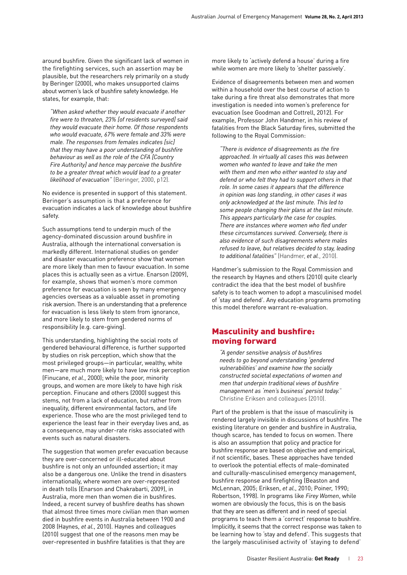around bushfire. Given the significant lack of women in the firefighting services, such an assertion may be plausible, but the researchers rely primarily on a study by Beringer (2000), who makes unsupported claims about women's lack of bushfire safety knowledge. He states, for example, that:

*"When asked whether they would evacuate if another fire were to threaten, 23% [of residents surveyed] said they would evacuate their home. Of those respondents who would evacuate, 67% were female and 33% were male. The responses from females indicates [sic] that they may have a poor understanding of bushfire behaviour as well as the role of the CFA [Country Fire Authority] and hence may perceive the bushfire to be a greater threat which would lead to a greater likelihood of evacuation"* (Beringer, 2000, p12).

No evidence is presented in support of this statement. Beringer's assumption is that a preference for evacuation indicates a lack of knowledge about bushfire safety.

Such assumptions tend to underpin much of the agency-dominated discussion around bushfire in Australia, although the international conversation is markedly different. International studies on gender and disaster evacuation preference show that women are more likely than men to favour evacuation. In some places this is actually seen as a virtue. Enarson (2009), for example, shows that women's more common preference for evacuation is seen by many emergency agencies overseas as a valuable asset in promoting risk aversion. There is an understanding that a preference for evacuation is less likely to stem from ignorance, and more likely to stem from gendered norms of responsibility (e.g. care-giving).

This understanding, highlighting the social roots of gendered behavioural difference, is further supported by studies on risk perception, which show that the most privileged groups—in particular, wealthy, white men—are much more likely to have low risk perception (Finucane, *et al*., 2000); while the poor, minority groups, and women are more likely to have high risk perception. Finucane and others (2000) suggest this stems, not from a lack of education, but rather from inequality, different environmental factors, and life experience. Those who are the most privileged tend to experience the least fear in their everyday lives and, as a consequence, may under-rate risks associated with events such as natural disasters.

The suggestion that women prefer evacuation because they are over-concerned or ill-educated about bushfire is not only an unfounded assertion; it may also be a dangerous one. Unlike the trend in disasters internationally, where women are over-represented in death tolls (Enarson and Chakrabarti, 2009), in Australia, more men than women die in bushfires. Indeed, a recent survey of bushfire deaths has shown that almost three times more civilian men than women died in bushfire events in Australia between 1900 and 2008 (Haynes, *et al*., 2010). Haynes and colleagues (2010) suggest that one of the reasons men may be over-represented in bushfire fatalities is that they are

more likely to 'actively defend a house' during a fire while women are more likely to 'shelter passively'.

Evidence of disagreements between men and women within a household over the best course of action to take during a fire threat also demonstrates that more investigation is needed into women's preference for evacuation (see Goodman and Cottrell, 2012). For example, Professor John Handmer, in his review of fatalities from the Black Saturday fires, submitted the following to the Royal Commission:

*"There is evidence of disagreements as the fire approached. In virtually all cases this was between women who wanted to leave and take the men with them and men who either wanted to stay and defend or who felt they had to support others in that role. In some cases it appears that the difference in opinion was long standing, in other cases it was only acknowledged at the last minute. This led to some people changing their plans at the last minute. This appears particularly the case for couples. There are instances where women who fled under these circumstances survived. Conversely, there is also evidence of such disagreements where males refused to leave, but relatives decided to stay, leading to additional fatalities"* (Handmer, *et al*., 2010).

Handmer's submission to the Royal Commission and the research by Haynes and others (2010) quite clearly contradict the idea that the best model of bushfire safety is to teach women to adopt a masculinised model of 'stay and defend'. Any education programs promoting this model therefore warrant re-evaluation.

#### Masculinity and bushfire: moving forward

*"A gender sensitive analysis of bushfires needs to go beyond understanding 'gendered vulnerabilities' and examine how the socially constructed societal expectations of women and men that underpin traditional views of bushfire management as 'men's business' persist today.*" Christine Eriksen and colleagues (2010).

Part of the problem is that the issue of masculinity is rendered largely invisible in discussions of bushfire. The existing literature on gender and bushfire in Australia, though scarce, has tended to focus on women. There is also an assumption that policy and practice for bushfire response are based on objective and empirical, if not scientific, bases. These approaches have tended to overlook the potential effects of male-dominated and culturally-masculinised emergency management, bushfire response and firefighting (Beaston and McLennan, 2005; Eriksen, *et al*., 2010; Poiner, 1990; Robertson, 1998). In programs like *Firey Women*, while women are obviously the focus, this is on the basis that they are seen as different and in need of special programs to teach them a 'correct' response to bushfire. Implicitly, it seems that the correct response was taken to be learning how to 'stay and defend'. This suggests that the largely masculinised activity of 'staying to defend'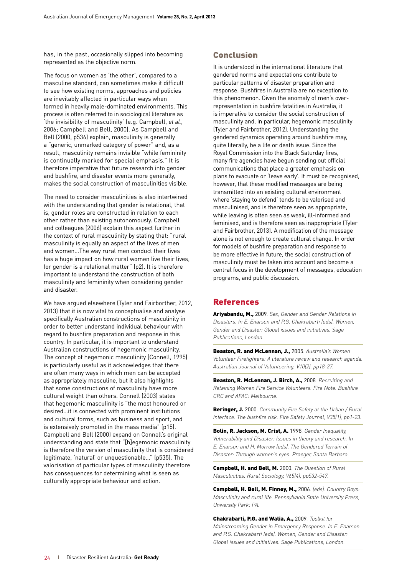has, in the past, occasionally slipped into becoming represented as the objective norm.

The focus on women as 'the other', compared to a masculine standard, can sometimes make it difficult to see how existing norms, approaches and policies are inevitably affected in particular ways when formed in heavily male-dominated environments. This process is often referred to in sociological literature as 'the invisibility of masculinity' (e.g. Campbell, *et al.*, 2006; Campbell and Bell, 2000). As Campbell and Bell (2000, p536) explain, masculinity is generally a "generic, unmarked category of power" and, as a result, masculinity remains invisible "while femininity is continually marked for special emphasis." It is therefore imperative that future research into gender and bushfire, and disaster events more generally, makes the social construction of masculinities visible.

The need to consider masculinities is also intertwined with the understanding that gender is relational, that is, gender roles are constructed in relation to each other rather than existing autonomously. Campbell and colleagues (2006) explain this aspect further in the context of rural masculinity by stating that: "rural masculinity is equally an aspect of the lives of men and women…The way rural men conduct their lives has a huge impact on how rural women live their lives, for gender is a relational matter" (p2). It is therefore important to understand the construction of both masculinity and femininity when considering gender and disaster.

We have argued elsewhere (Tyler and Fairborther, 2012, 2013) that it is now vital to conceptualise and analyse specifically Australian constructions of masculinity in order to better understand individual behaviour with regard to bushfire preparation and response in this country. In particular, it is important to understand Australian constructions of hegemonic masculinity. The concept of hegemonic masculinity (Connell, 1995) is particularly useful as it acknowledges that there are often many ways in which men can be accepted as appropriately masculine, but it also highlights that some constructions of masculinity have more cultural weight than others. Connell (2003) states that hegemonic masculinity is "the most honoured or desired…it is connected with prominent institutions and cultural forms, such as business and sport, and is extensively promoted in the mass media" (p15). Campbell and Bell (2000) expand on Connell's original understanding and state that "[h]egemonic masculinity is therefore the version of masculinity that is considered legitimate, 'natural' or unquestionable…" (p535). The valorisation of particular types of masculinity therefore has consequences for determining what is seen as culturally appropriate behaviour and action.

#### Conclusion

It is understood in the international literature that gendered norms and expectations contribute to particular patterns of disaster preparation and response. Bushfires in Australia are no exception to this phenomenon. Given the anomaly of men's overrepresentation in bushfire fatalities in Australia, it is imperative to consider the social construction of masculinity and, in particular, hegemonic masculinity (Tyler and Fairbrother, 2012). Understanding the gendered dynamics operating around bushfire may, quite literally, be a life or death issue. Since the Royal Commission into the Black Saturday fires, many fire agencies have begun sending out official communications that place a greater emphasis on plans to evacuate or 'leave early'. It must be recognised, however, that these modified messages are being transmitted into an existing cultural environment where 'staying to defend' tends to be valorised and masculinised, and is therefore seen as appropriate, while leaving is often seen as weak, ill-informed and feminised, and is therefore seen as inappropriate (Tyler and Fairbrother, 2013). A modification of the message alone is not enough to create cultural change. In order for models of bushfire preparation and response to be more effective in future, the social construction of masculinity must be taken into account and become a central focus in the development of messages, education programs, and public discussion.

#### References

Ariyabandu, M., 2009*. Sex, Gender and Gender Relations in Disasters. In E. Enarson and P.G. Chakrabarti (eds). Women, Gender and Disaster: Global issues and initiatives. Sage Publications, London.*

Beaston, R. and McLennan, J., 2005*. Australia's Women Volunteer Firefighters: A literature review and research agenda. Australian Journal of Volunteering, V10(2), pp18-27.*

Beaston, R. McLennan, J. Birch, A., 2008*. Recruiting and Retaining Women Fire Service Volunteers. Fire Note. Bushfire CRC and AFAC: Melbourne.*

Beringer, J. 2000*. Community Fire Safety at the Urban / Rural Interface: The bushfire risk. Fire Safety Journal, V35(1), pp1-23.*

Bolin, R. Jackson, M. Crist, A. 1998*. Gender Inequality, Vulnerability and Disaster: Issues in theory and research. In E. Enarson and H. Morrow (eds). The Gendered Terrain of Disaster: Through women's eyes. Praeger, Santa Barbara.*

Campbell, H. and Bell, M. 2000*. The Question of Rural Masculinities. Rural Sociology, V65(4), pp532-547.* 

Campbell, H. Bell, M. Finney, M., 2006*. (eds). Country Boys: Masculinity and rural life. Pennsylvania State University Press, University Park: PA.*

Chakrabarti, P.G. and Walia, A., 2009*. Toolkit for Mainstreaming Gender in Emergency Response. In E. Enarson and P.G. Chakrabarti (eds). Women, Gender and Disaster: Global issues and initiatives. Sage Publications, London.*